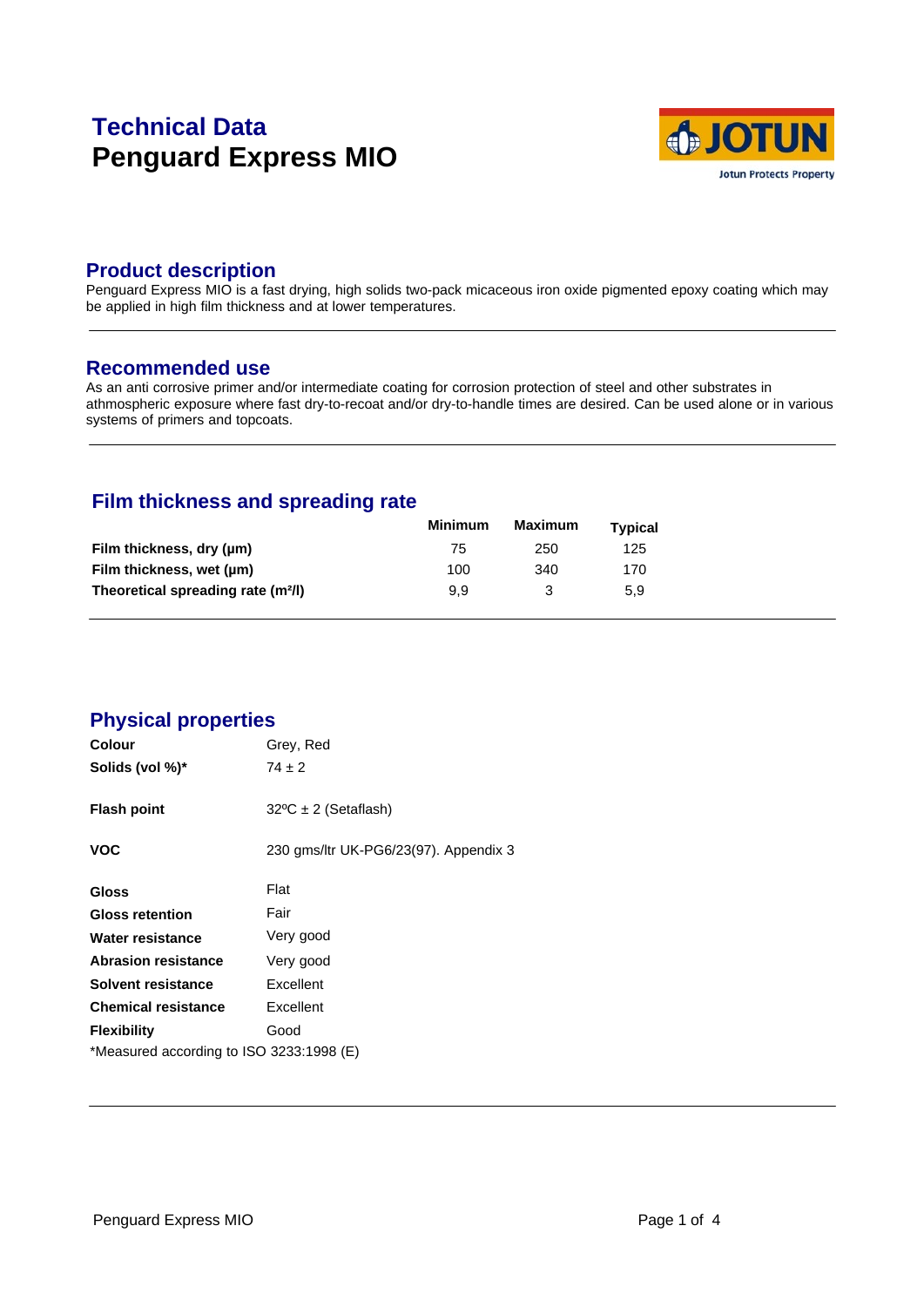# **Technical Data Penguard Express MIO**



### **Product description**

Penguard Express MIO is a fast drying, high solids two-pack micaceous iron oxide pigmented epoxy coating which may be applied in high film thickness and at lower temperatures.

#### **Recommended use**

As an anti corrosive primer and/or intermediate coating for corrosion protection of steel and other substrates in athmospheric exposure where fast dry-to-recoat and/or dry-to-handle times are desired. Can be used alone or in various systems of primers and topcoats.

# **Film thickness and spreading rate**

|                                                | <b>Minimum</b> | Maximum | <b>Typical</b> |  |
|------------------------------------------------|----------------|---------|----------------|--|
| Film thickness, dry (µm)                       | 75             | 250     | 125            |  |
| Film thickness, wet (µm)                       | 100            | 340     | 170            |  |
| Theoretical spreading rate (m <sup>2</sup> /l) | 9.9            |         | 5.9            |  |

### **Physical properties**

| Colour                                   | Grey, Red                             |
|------------------------------------------|---------------------------------------|
| Solids (vol %)*                          | $74 \pm 2$                            |
| <b>Flash point</b>                       | $32^{\circ}C \pm 2$ (Setaflash)       |
| <b>VOC</b>                               | 230 gms/ltr UK-PG6/23(97). Appendix 3 |
| <b>Gloss</b>                             | Flat                                  |
| <b>Gloss retention</b>                   | Fair                                  |
| Water resistance                         | Very good                             |
| <b>Abrasion resistance</b>               | Very good                             |
| Solvent resistance                       | Excellent                             |
| <b>Chemical resistance</b>               | Excellent                             |
| <b>Flexibility</b>                       | Good                                  |
| *Measured according to ISO 3233:1998 (E) |                                       |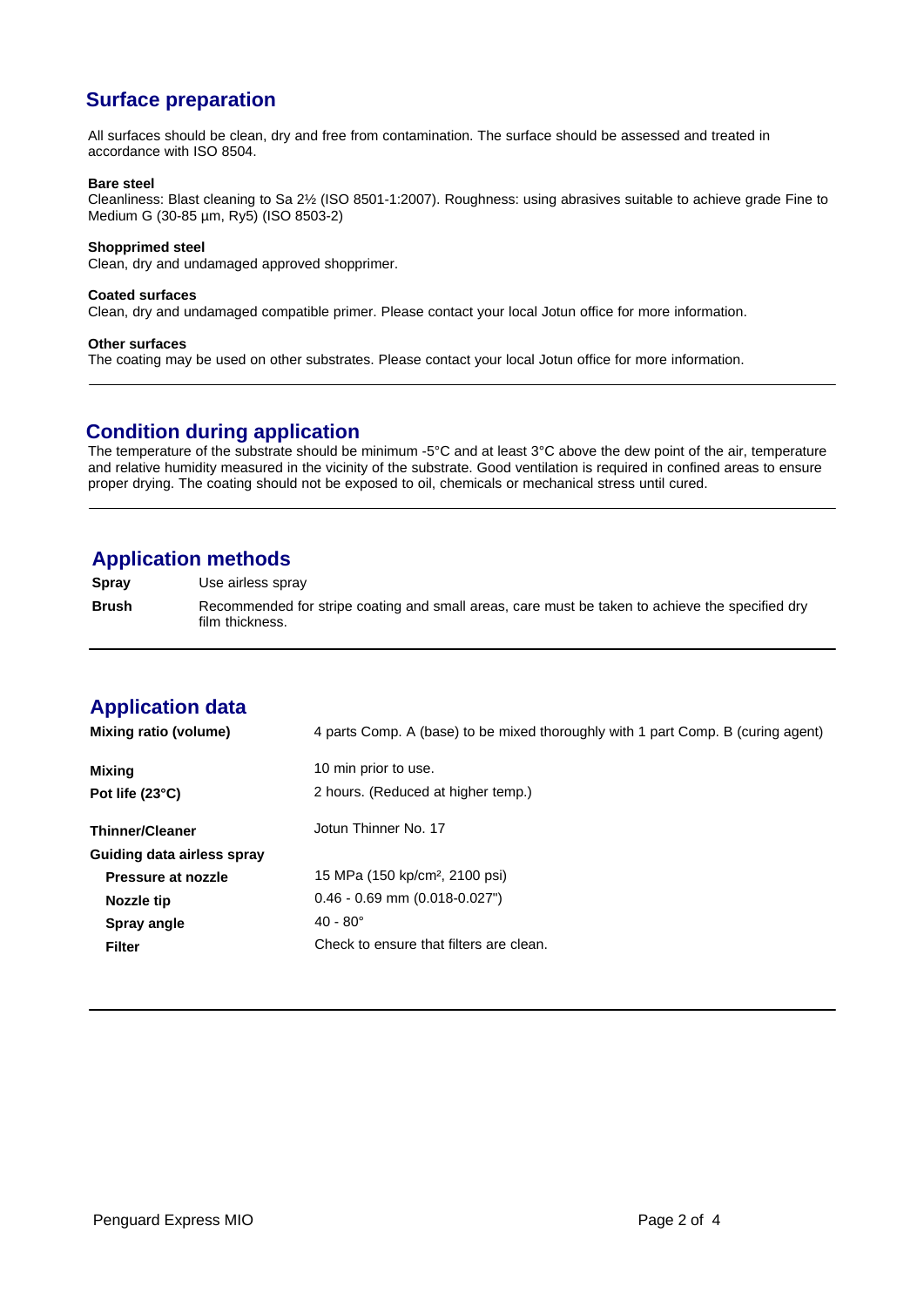# **Surface preparation**

All surfaces should be clean, dry and free from contamination. The surface should be assessed and treated in accordance with ISO 8504.

#### **Bare steel**

Cleanliness: Blast cleaning to Sa 2½ (ISO 8501-1:2007). Roughness: using abrasives suitable to achieve grade Fine to Medium G (30-85 µm, Ry5) (ISO 8503-2)

#### **Shopprimed steel**

Clean, dry and undamaged approved shopprimer.

#### **Coated surfaces**

Clean, dry and undamaged compatible primer. Please contact your local Jotun office for more information.

#### **Other surfaces**

The coating may be used on other substrates. Please contact your local Jotun office for more information.

### **Condition during application**

The temperature of the substrate should be minimum -5°C and at least 3°C above the dew point of the air, temperature and relative humidity measured in the vicinity of the substrate. Good ventilation is required in confined areas to ensure proper drying. The coating should not be exposed to oil, chemicals or mechanical stress until cured.

### **Application methods**

**Spray** Use airless spray

**Brush** Recommended for stripe coating and small areas, care must be taken to achieve the specified dry film thickness.

# **Application data**

| <b>Mixing ratio (volume)</b> | 4 parts Comp. A (base) to be mixed thoroughly with 1 part Comp. B (curing agent) |
|------------------------------|----------------------------------------------------------------------------------|
| <b>Mixing</b>                | 10 min prior to use.                                                             |
| Pot life $(23^{\circ}C)$     | 2 hours. (Reduced at higher temp.)                                               |
| <b>Thinner/Cleaner</b>       | Jotun Thinner No. 17                                                             |
| Guiding data airless spray   |                                                                                  |
| Pressure at nozzle           | 15 MPa (150 kp/cm <sup>2</sup> , 2100 psi)                                       |
| Nozzle tip                   | $0.46 - 0.69$ mm $(0.018 - 0.027)$                                               |
| Spray angle                  | $40 - 80^{\circ}$                                                                |
| <b>Filter</b>                | Check to ensure that filters are clean.                                          |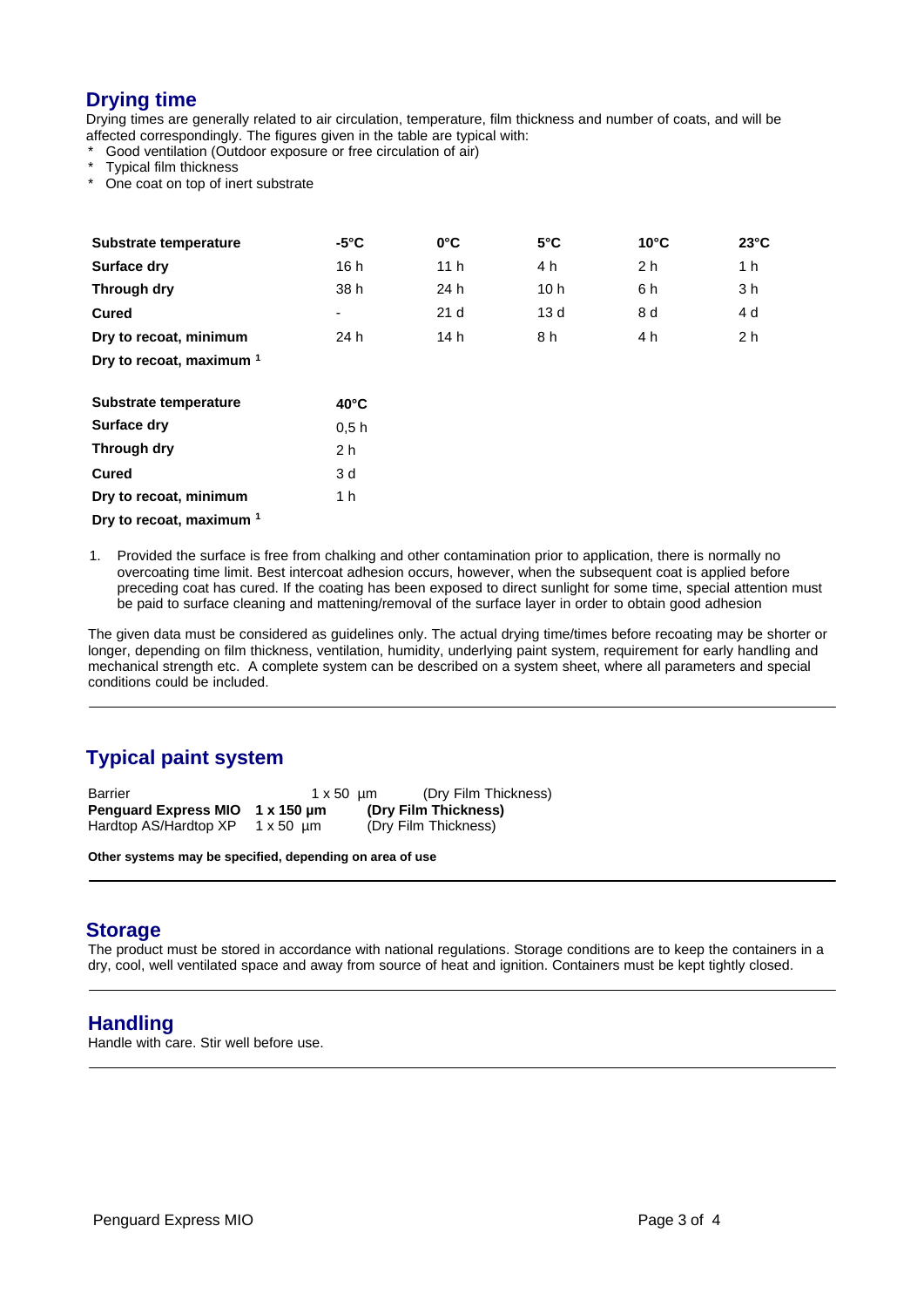### **Drying time**

Drying times are generally related to air circulation, temperature, film thickness and number of coats, and will be affected correspondingly. The figures given in the table are typical with:

Good ventilation (Outdoor exposure or free circulation of air)

Typical film thickness

One coat on top of inert substrate

| Substrate temperature               | $-5^{\circ}$ C | $0^{\circ}$ C   | $5^{\circ}$ C   | $10^{\circ}$ C | $23^{\circ}$ C |  |
|-------------------------------------|----------------|-----------------|-----------------|----------------|----------------|--|
| <b>Surface dry</b>                  | 16 h           | 11 <sub>h</sub> | 4 h             | 2 <sub>h</sub> | 1 h            |  |
| Through dry                         | 38 h           | 24 h            | 10 <sub>h</sub> | 6 h            | 3 h            |  |
| <b>Cured</b>                        | ٠              | 21 <sub>d</sub> | 13d             | 8 d            | 4 d            |  |
| Dry to recoat, minimum              | 24 h           | 14 h            | 8 h             | 4 h            | 2 <sub>h</sub> |  |
| Dry to recoat, maximum <sup>1</sup> |                |                 |                 |                |                |  |
| Substrate temperature               | $40^{\circ}$ C |                 |                 |                |                |  |

|                        | 40 U |
|------------------------|------|
| Surface dry            | 0.5h |
| Through dry            | 2 h  |
| Cured                  | 3 d  |
| Dry to recoat, minimum | 1 h  |
|                        |      |

**Dry to recoat, maximum <sup>1</sup>**

1. Provided the surface is free from chalking and other contamination prior to application, there is normally no overcoating time limit. Best intercoat adhesion occurs, however, when the subsequent coat is applied before preceding coat has cured. If the coating has been exposed to direct sunlight for some time, special attention must be paid to surface cleaning and mattening/removal of the surface layer in order to obtain good adhesion

The given data must be considered as guidelines only. The actual drying time/times before recoating may be shorter or longer, depending on film thickness, ventilation, humidity, underlying paint system, requirement for early handling and mechanical strength etc. A complete system can be described on a system sheet, where all parameters and special conditions could be included.

# **Typical paint system**

| Barrier                                                  | $1 \times 50$ um | (Dry Film Thickness)                         |
|----------------------------------------------------------|------------------|----------------------------------------------|
| Penguard Express MIO 1 x 150 um<br>Hardtop AS/Hardtop XP | 1 x 50 µm        | (Dry Film Thickness)<br>(Dry Film Thickness) |

**Other systems may be specified, depending on area of use**

### **Storage**

The product must be stored in accordance with national regulations. Storage conditions are to keep the containers in a dry, cool, well ventilated space and away from source of heat and ignition. Containers must be kept tightly closed.

### **Handling**

Handle with care. Stir well before use.